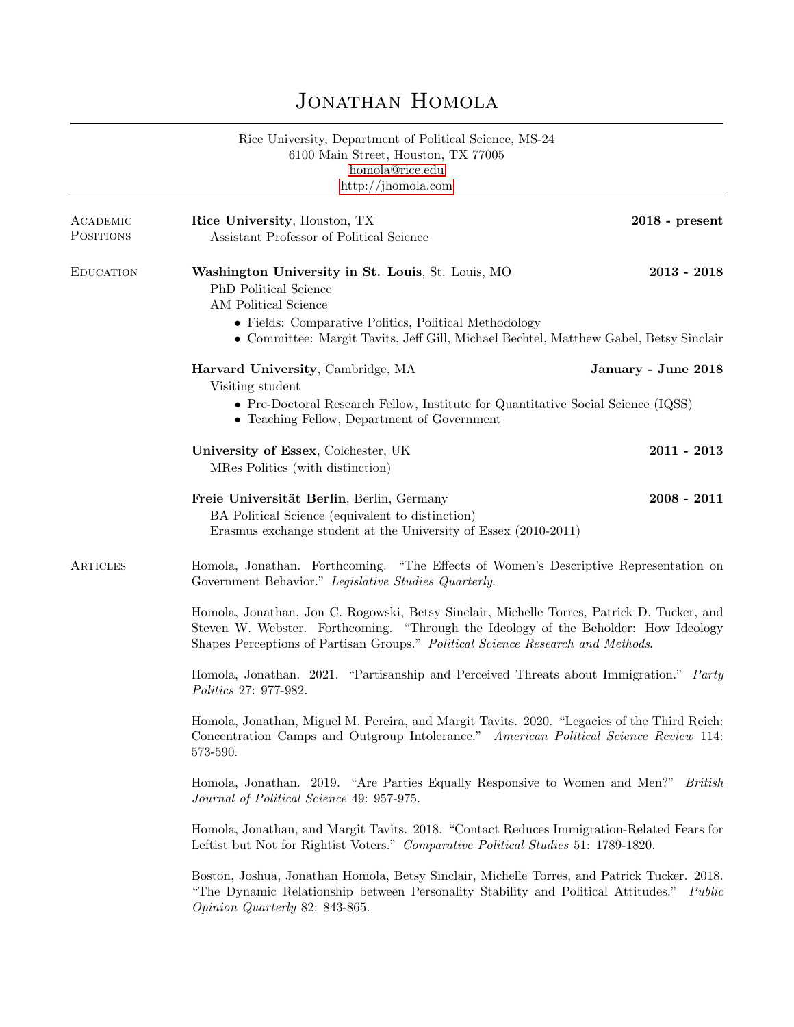## JONATHAN HOMOLA

Rice University, Department of Political Science, MS-24 6100 Main Street, Houston, TX 77005 [homola@rice.edu](mailto:homola@rice.edu) <http://jhomola.com>

| ACADEMIC<br><b>POSITIONS</b> | Rice University, Houston, TX<br>Assistant Professor of Political Science                                                                                                                                                                                             | $2018$ - present    |  |
|------------------------------|----------------------------------------------------------------------------------------------------------------------------------------------------------------------------------------------------------------------------------------------------------------------|---------------------|--|
| <b>EDUCATION</b>             | Washington University in St. Louis, St. Louis, MO<br>PhD Political Science<br>AM Political Science<br>• Fields: Comparative Politics, Political Methodology<br>• Committee: Margit Tavits, Jeff Gill, Michael Bechtel, Matthew Gabel, Betsy Sinclair                 | $2013 - 2018$       |  |
|                              | Harvard University, Cambridge, MA<br>Visiting student<br>• Pre-Doctoral Research Fellow, Institute for Quantitative Social Science (IQSS)<br>• Teaching Fellow, Department of Government                                                                             | January - June 2018 |  |
|                              | University of Essex, Colchester, UK<br>MRes Politics (with distinction)                                                                                                                                                                                              | $2011 - 2013$       |  |
|                              | Freie Universität Berlin, Berlin, Germany<br>BA Political Science (equivalent to distinction)<br>Erasmus exchange student at the University of Essex (2010-2011)                                                                                                     | $2008 - 2011$       |  |
| ARTICLES                     | Homola, Jonathan. Forthcoming. "The Effects of Women's Descriptive Representation on<br>Government Behavior." Legislative Studies Quarterly.                                                                                                                         |                     |  |
|                              | Homola, Jonathan, Jon C. Rogowski, Betsy Sinclair, Michelle Torres, Patrick D. Tucker, and<br>Steven W. Webster. Forthcoming. "Through the Ideology of the Beholder: How Ideology<br>Shapes Perceptions of Partisan Groups." Political Science Research and Methods. |                     |  |
|                              | Homola, Jonathan. 2021. "Partisanship and Perceived Threats about Immigration." Party<br>Politics 27: 977-982.                                                                                                                                                       |                     |  |
|                              | Homola, Jonathan, Miguel M. Pereira, and Margit Tavits. 2020. "Legacies of the Third Reich:<br>Concentration Camps and Outgroup Intolerance." American Political Science Review 114:<br>573-590.                                                                     |                     |  |
|                              | Homola, Jonathan. 2019. "Are Parties Equally Responsive to Women and Men?" British<br>Journal of Political Science 49: 957-975.                                                                                                                                      |                     |  |
|                              | Homola, Jonathan, and Margit Tavits. 2018. "Contact Reduces Immigration-Related Fears for<br>Leftist but Not for Rightist Voters." Comparative Political Studies 51: 1789-1820.                                                                                      |                     |  |
|                              | Boston, Joshua, Jonathan Homola, Betsy Sinclair, Michelle Torres, and Patrick Tucker. 2018.<br>"The Dynamic Relationship between Personality Stability and Political Attitudes." Public<br>Opinion Quarterly 82: 843-865.                                            |                     |  |
|                              |                                                                                                                                                                                                                                                                      |                     |  |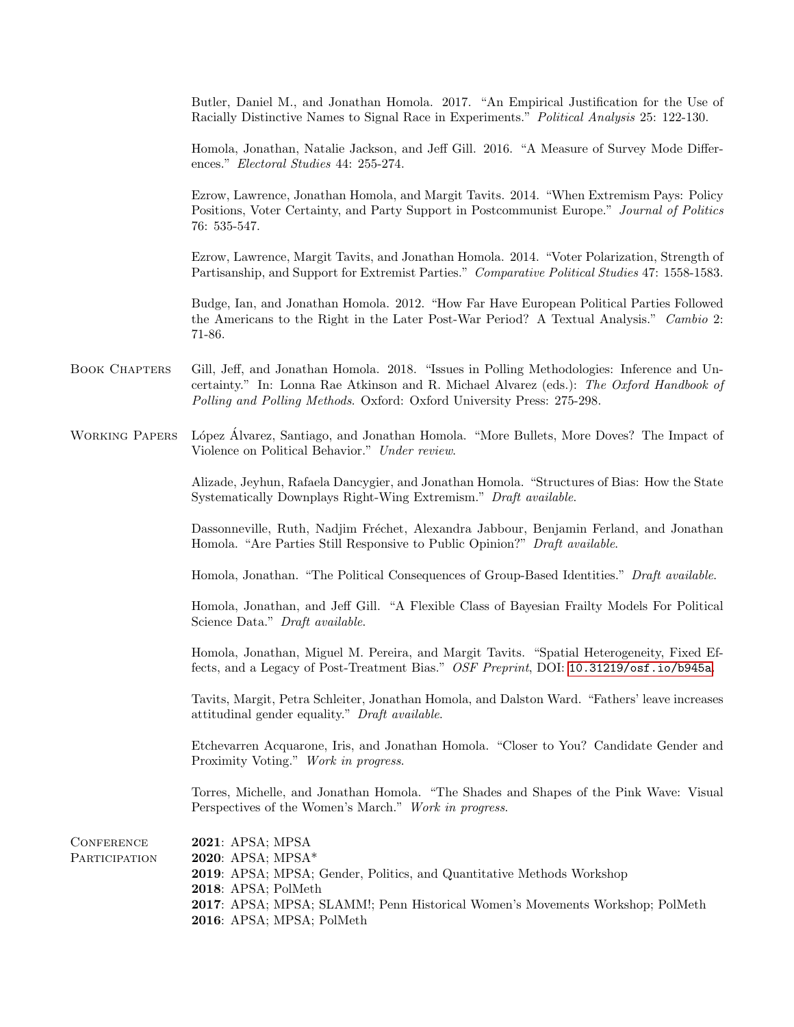Butler, Daniel M., and Jonathan Homola. 2017. "An Empirical Justification for the Use of Racially Distinctive Names to Signal Race in Experiments." Political Analysis 25: 122-130.

Homola, Jonathan, Natalie Jackson, and Jeff Gill. 2016. "A Measure of Survey Mode Differences." Electoral Studies 44: 255-274.

Ezrow, Lawrence, Jonathan Homola, and Margit Tavits. 2014. "When Extremism Pays: Policy Positions, Voter Certainty, and Party Support in Postcommunist Europe." Journal of Politics 76: 535-547.

Ezrow, Lawrence, Margit Tavits, and Jonathan Homola. 2014. "Voter Polarization, Strength of Partisanship, and Support for Extremist Parties." Comparative Political Studies 47: 1558-1583.

Budge, Ian, and Jonathan Homola. 2012. "How Far Have European Political Parties Followed the Americans to the Right in the Later Post-War Period? A Textual Analysis." Cambio 2: 71-86.

- Book Chapters Gill, Jeff, and Jonathan Homola. 2018. "Issues in Polling Methodologies: Inference and Uncertainty." In: Lonna Rae Atkinson and R. Michael Alvarez (eds.): The Oxford Handbook of Polling and Polling Methods. Oxford: Oxford University Press: 275-298.
- Working Papers López Álvarez, Santiago, and Jonathan Homola. "More Bullets, More Doves? The Impact of Violence on Political Behavior." Under review.

Alizade, Jeyhun, Rafaela Dancygier, and Jonathan Homola. "Structures of Bias: How the State Systematically Downplays Right-Wing Extremism." Draft available.

Dassonneville, Ruth, Nadjim Fréchet, Alexandra Jabbour, Benjamin Ferland, and Jonathan Homola. "Are Parties Still Responsive to Public Opinion?" Draft available.

Homola, Jonathan. "The Political Consequences of Group-Based Identities." Draft available.

Homola, Jonathan, and Jeff Gill. "A Flexible Class of Bayesian Frailty Models For Political Science Data." Draft available.

Homola, Jonathan, Miguel M. Pereira, and Margit Tavits. "Spatial Heterogeneity, Fixed Effects, and a Legacy of Post-Treatment Bias." OSF Preprint, DOI: <10.31219/osf.io/b945a>.

Tavits, Margit, Petra Schleiter, Jonathan Homola, and Dalston Ward. "Fathers' leave increases attitudinal gender equality." Draft available.

Etchevarren Acquarone, Iris, and Jonathan Homola. "Closer to You? Candidate Gender and Proximity Voting." Work in progress.

Torres, Michelle, and Jonathan Homola. "The Shades and Shapes of the Pink Wave: Visual Perspectives of the Women's March." Work in progress.

| CONFERENCE    | <b>2021: APSA; MPSA</b>                                                       |
|---------------|-------------------------------------------------------------------------------|
| PARTICIPATION | 2020: APSA; $MPSA^*$                                                          |
|               | 2019: APSA; MPSA; Gender, Politics, and Quantitative Methods Workshop         |
|               | $2018:$ APSA: PolMeth                                                         |
|               | 2017: APSA; MPSA; SLAMM!; Penn Historical Women's Movements Workshop; PolMeth |
|               | 2016: APSA; MPSA; PolMeth                                                     |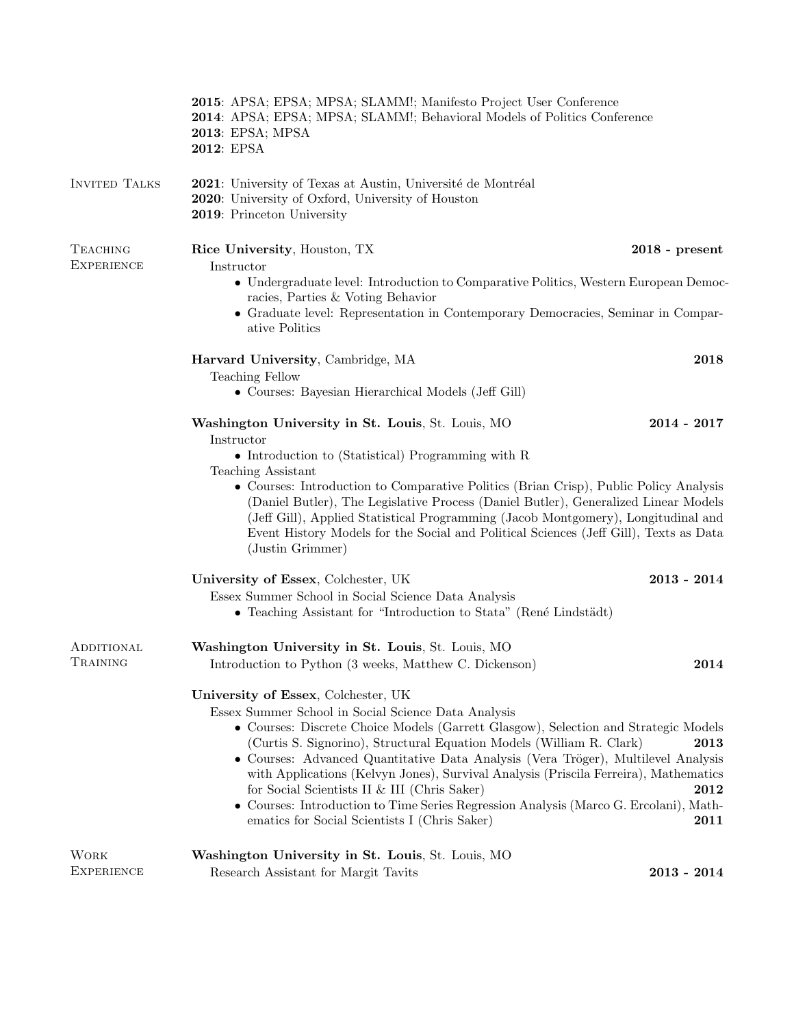|                      | 2015: APSA; EPSA; MPSA; SLAMM!; Manifesto Project User Conference<br>2014: APSA; EPSA; MPSA; SLAMM!; Behavioral Models of Politics Conference<br>2013: EPSA; MPSA<br>2012: EPSA                                                                                                                                                                                                                                                                                                                                                                                                                                                                          |                  |  |
|----------------------|----------------------------------------------------------------------------------------------------------------------------------------------------------------------------------------------------------------------------------------------------------------------------------------------------------------------------------------------------------------------------------------------------------------------------------------------------------------------------------------------------------------------------------------------------------------------------------------------------------------------------------------------------------|------------------|--|
| <b>INVITED TALKS</b> | 2021: University of Texas at Austin, Université de Montréal<br>2020: University of Oxford, University of Houston<br>2019: Princeton University                                                                                                                                                                                                                                                                                                                                                                                                                                                                                                           |                  |  |
| <b>TEACHING</b>      | Rice University, Houston, TX                                                                                                                                                                                                                                                                                                                                                                                                                                                                                                                                                                                                                             | $2018$ - present |  |
| <b>EXPERIENCE</b>    | Instructor<br>• Undergraduate level: Introduction to Comparative Politics, Western European Democ-                                                                                                                                                                                                                                                                                                                                                                                                                                                                                                                                                       |                  |  |
|                      | racies, Parties & Voting Behavior<br>• Graduate level: Representation in Contemporary Democracies, Seminar in Compar-<br>ative Politics                                                                                                                                                                                                                                                                                                                                                                                                                                                                                                                  |                  |  |
|                      | Harvard University, Cambridge, MA                                                                                                                                                                                                                                                                                                                                                                                                                                                                                                                                                                                                                        | 2018             |  |
|                      | <b>Teaching Fellow</b><br>• Courses: Bayesian Hierarchical Models (Jeff Gill)                                                                                                                                                                                                                                                                                                                                                                                                                                                                                                                                                                            |                  |  |
|                      | Washington University in St. Louis, St. Louis, MO<br>Instructor<br>• Introduction to (Statistical) Programming with $R$                                                                                                                                                                                                                                                                                                                                                                                                                                                                                                                                  | $2014 - 2017$    |  |
|                      | Teaching Assistant<br>• Courses: Introduction to Comparative Politics (Brian Crisp), Public Policy Analysis<br>(Daniel Butler), The Legislative Process (Daniel Butler), Generalized Linear Models<br>(Jeff Gill), Applied Statistical Programming (Jacob Montgomery), Longitudinal and<br>Event History Models for the Social and Political Sciences (Jeff Gill), Texts as Data<br>(Justin Grimmer)                                                                                                                                                                                                                                                     |                  |  |
|                      | University of Essex, Colchester, UK<br>Essex Summer School in Social Science Data Analysis<br>• Teaching Assistant for "Introduction to Stata" (René Lindstädt)                                                                                                                                                                                                                                                                                                                                                                                                                                                                                          | $2013 - 2014$    |  |
| ADDITIONAL           | Washington University in St. Louis, St. Louis, MO                                                                                                                                                                                                                                                                                                                                                                                                                                                                                                                                                                                                        |                  |  |
| TRAINING             | Introduction to Python (3 weeks, Matthew C. Dickenson)                                                                                                                                                                                                                                                                                                                                                                                                                                                                                                                                                                                                   | 2014             |  |
|                      | University of Essex, Colchester, UK<br>Essex Summer School in Social Science Data Analysis<br>• Courses: Discrete Choice Models (Garrett Glasgow), Selection and Strategic Models<br>(Curtis S. Signorino), Structural Equation Models (William R. Clark)<br>2013<br>• Courses: Advanced Quantitative Data Analysis (Vera Tröger), Multilevel Analysis<br>with Applications (Kelvyn Jones), Survival Analysis (Priscila Ferreira), Mathematics<br>for Social Scientists II & III (Chris Saker)<br>2012<br>• Courses: Introduction to Time Series Regression Analysis (Marco G. Ercolani), Math-<br>ematics for Social Scientists I (Chris Saker)<br>2011 |                  |  |
| <b>WORK</b>          | Washington University in St. Louis, St. Louis, MO                                                                                                                                                                                                                                                                                                                                                                                                                                                                                                                                                                                                        |                  |  |
| <b>EXPERIENCE</b>    | Research Assistant for Margit Tavits                                                                                                                                                                                                                                                                                                                                                                                                                                                                                                                                                                                                                     | $2013 - 2014$    |  |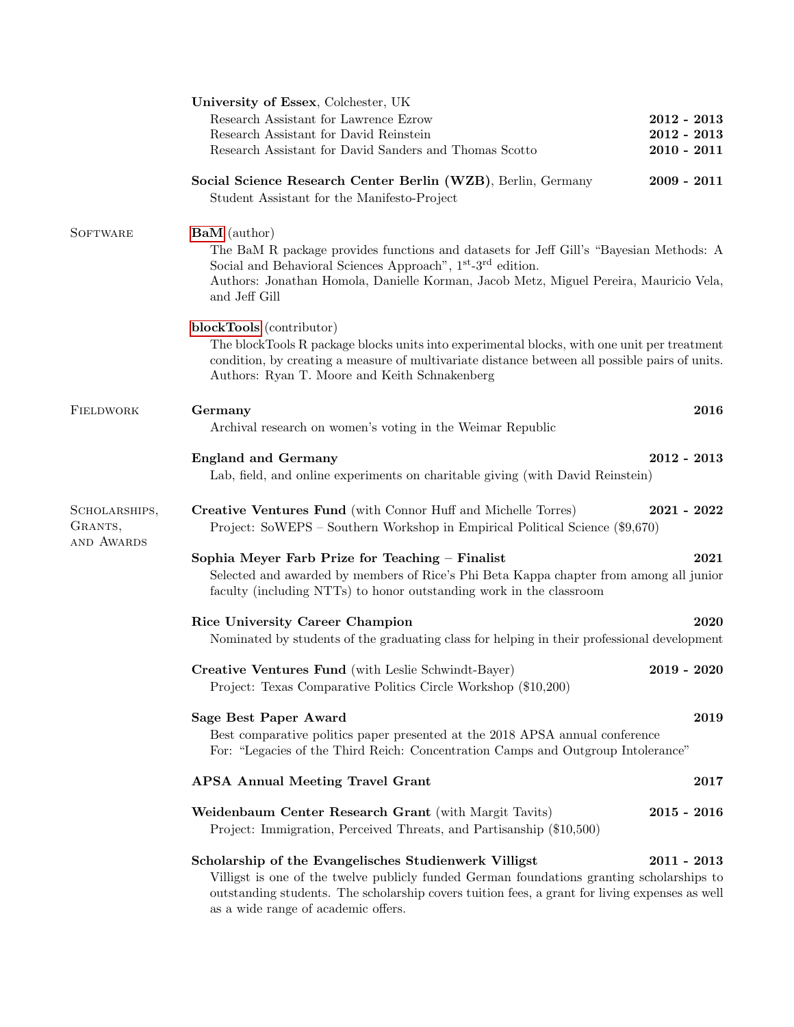|                                        | University of Essex, Colchester, UK                                                                                                                                                                                                                                                                            |               |  |
|----------------------------------------|----------------------------------------------------------------------------------------------------------------------------------------------------------------------------------------------------------------------------------------------------------------------------------------------------------------|---------------|--|
|                                        | Research Assistant for Lawrence Ezrow                                                                                                                                                                                                                                                                          | $2012 - 2013$ |  |
|                                        | Research Assistant for David Reinstein                                                                                                                                                                                                                                                                         | $2012 - 2013$ |  |
|                                        | Research Assistant for David Sanders and Thomas Scotto                                                                                                                                                                                                                                                         | $2010 - 2011$ |  |
|                                        | Social Science Research Center Berlin (WZB), Berlin, Germany                                                                                                                                                                                                                                                   | $2009 - 2011$ |  |
|                                        | Student Assistant for the Manifesto-Project                                                                                                                                                                                                                                                                    |               |  |
| <b>SOFTWARE</b>                        | <b>BaM</b> (author)<br>The BaM R package provides functions and datasets for Jeff Gill's "Bayesian Methods: A<br>Social and Behavioral Sciences Approach", 1 <sup>st</sup> -3 <sup>rd</sup> edition.<br>Authors: Jonathan Homola, Danielle Korman, Jacob Metz, Miguel Pereira, Mauricio Vela,<br>and Jeff Gill |               |  |
|                                        | blockTools (contributor)<br>The blockTools R package blocks units into experimental blocks, with one unit per treatment<br>condition, by creating a measure of multivariate distance between all possible pairs of units.<br>Authors: Ryan T. Moore and Keith Schnakenberg                                     |               |  |
| FIELDWORK                              | Germany<br>Archival research on women's voting in the Weimar Republic                                                                                                                                                                                                                                          | 2016          |  |
|                                        |                                                                                                                                                                                                                                                                                                                |               |  |
|                                        | <b>England and Germany</b><br>Lab, field, and online experiments on charitable giving (with David Reinstein)                                                                                                                                                                                                   | $2012 - 2013$ |  |
| SCHOLARSHIPS,<br>GRANTS,<br>AND AWARDS | Creative Ventures Fund (with Connor Huff and Michelle Torres)<br>Project: SoWEPS – Southern Workshop in Empirical Political Science (\$9,670)                                                                                                                                                                  | $2021 - 2022$ |  |
|                                        | Sophia Meyer Farb Prize for Teaching - Finalist<br>Selected and awarded by members of Rice's Phi Beta Kappa chapter from among all junior<br>faculty (including NTTs) to honor outstanding work in the classroom                                                                                               | 2021          |  |
|                                        | <b>Rice University Career Champion</b>                                                                                                                                                                                                                                                                         | 2020          |  |
|                                        | Nominated by students of the graduating class for helping in their professional development                                                                                                                                                                                                                    |               |  |
|                                        | Creative Ventures Fund (with Leslie Schwindt-Bayer)<br>Project: Texas Comparative Politics Circle Workshop (\$10,200)                                                                                                                                                                                          | $2019 - 2020$ |  |
|                                        | Sage Best Paper Award<br>2019<br>Best comparative politics paper presented at the 2018 APSA annual conference<br>For: "Legacies of the Third Reich: Concentration Camps and Outgroup Intolerance"                                                                                                              |               |  |
|                                        | <b>APSA Annual Meeting Travel Grant</b>                                                                                                                                                                                                                                                                        | 2017          |  |
|                                        | Weidenbaum Center Research Grant (with Margit Tavits)<br>Project: Immigration, Perceived Threats, and Partisanship (\$10,500)                                                                                                                                                                                  | $2015 - 2016$ |  |
|                                        | Scholarship of the Evangelisches Studienwerk Villigst<br>$2011 - 2013$<br>Villigst is one of the twelve publicly funded German foundations granting scholarships to<br>outstanding students. The scholarship covers tuition fees, a grant for living expenses as well<br>as a wide range of academic offers.   |               |  |